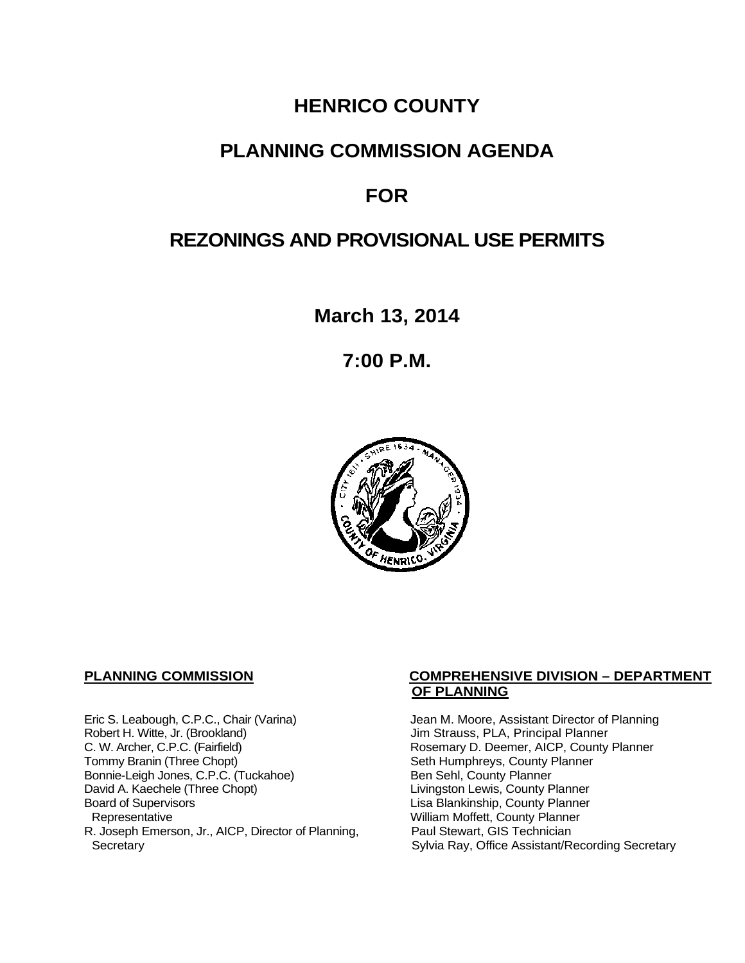## **HENRICO COUNTY**

## **PLANNING COMMISSION AGENDA**

# **FOR**

# **REZONINGS AND PROVISIONAL USE PERMITS**

**March 13, 2014**

**7:00 P.M.**



Eric S. Leabough, C.P.C., Chair (Varina) Jean M. Moore, Assistant Director of Planning<br>Robert H. Witte, Jr. (Brookland) Jim Strauss, PLA, Principal Planner Robert H. Witte, Jr. (Brookland)<br>C. W. Archer, C.P.C. (Fairfield) G. W. Archer, C.P.C. (Fairfield) C. W. Archer, C.P.C. (Fairfield) C. W. Archer, C.P.C. (Fairfield) Rosemary D. Deemer, AICP, County Planner<br>Tommy Branin (Three Chopt) Seth Humphreys, County Planner Bonnie-Leigh Jones, C.P.C. (Tuckahoe)<br>David A. Kaechele (Three Chopt) David A. Kaechele (Three Chopt) Livingston Lewis, County Planner<br>Board of Supervisors County Planner<br>Lisa Blankinship, County Planner Board of Supervisors Lisa Blankinship, County Planner R. Joseph Emerson, Jr., AICP, Director of Planning, Secretary

#### **PLANNING COMMISSION COMPREHENSIVE DIVISION – DEPARTMENT OF PLANNING**

Seth Humphreys, County Planner<br>Ben Sehl, County Planner William Moffett, County Planner<br>Paul Stewart, GIS Technician Sylvia Ray, Office Assistant/Recording Secretary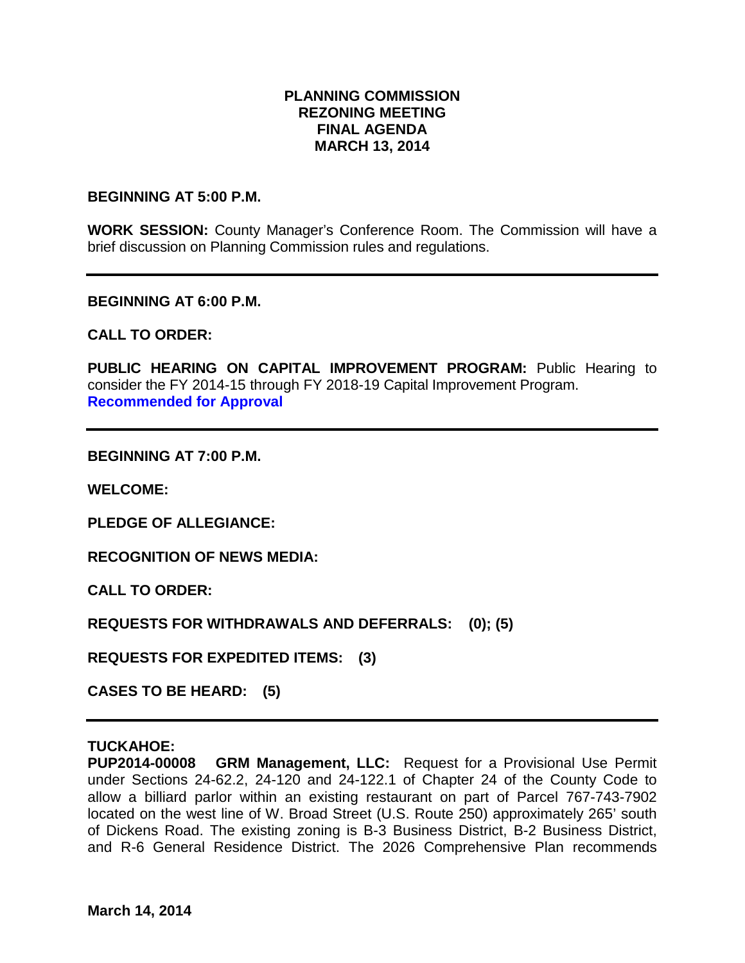### **PLANNING COMMISSION REZONING MEETING FINAL AGENDA MARCH 13, 2014**

#### **BEGINNING AT 5:00 P.M.**

**WORK SESSION:** County Manager's Conference Room. The Commission will have a brief discussion on Planning Commission rules and regulations.

#### **BEGINNING AT 6:00 P.M.**

#### **CALL TO ORDER:**

PUBLIC HEARING ON CAPITAL IMPROVEMENT PROGRAM: Public Hearing to consider the FY 2014-15 through FY 2018-19 Capital Improvement Program. **Recommended for Approval**

#### **BEGINNING AT 7:00 P.M.**

**WELCOME:**

**PLEDGE OF ALLEGIANCE:**

**RECOGNITION OF NEWS MEDIA:**

**CALL TO ORDER:**

**REQUESTS FOR WITHDRAWALS AND DEFERRALS: (0); (5)**

**REQUESTS FOR EXPEDITED ITEMS: (3)**

**CASES TO BE HEARD: (5)**

#### **TUCKAHOE:**

**PUP2014-00008 GRM Management, LLC:** Request for a Provisional Use Permit under Sections 24-62.2, 24-120 and 24-122.1 of Chapter 24 of the County Code to allow a billiard parlor within an existing restaurant on part of Parcel 767-743-7902 located on the west line of W. Broad Street (U.S. Route 250) approximately 265' south of Dickens Road. The existing zoning is B-3 Business District, B-2 Business District, and R-6 General Residence District. The 2026 Comprehensive Plan recommends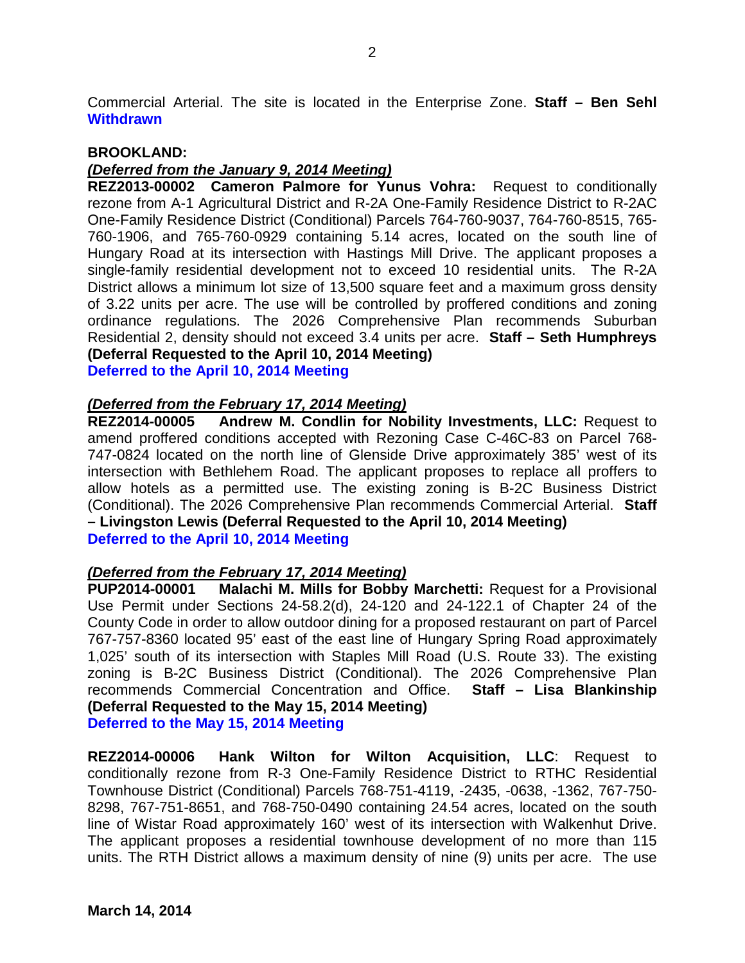Commercial Arterial. The site is located in the Enterprise Zone. **Staff – Ben Sehl Withdrawn** 

#### **BROOKLAND:**

#### *(Deferred from the January 9, 2014 Meeting)*

**REZ2013-00002 Cameron Palmore for Yunus Vohra:** Request to conditionally rezone from A-1 Agricultural District and R-2A One-Family Residence District to R-2AC One-Family Residence District (Conditional) Parcels 764-760-9037, 764-760-8515, 765- 760-1906, and 765-760-0929 containing 5.14 acres, located on the south line of Hungary Road at its intersection with Hastings Mill Drive. The applicant proposes a single-family residential development not to exceed 10 residential units. The R-2A District allows a minimum lot size of 13,500 square feet and a maximum gross density of 3.22 units per acre. The use will be controlled by proffered conditions and zoning ordinance regulations. The 2026 Comprehensive Plan recommends Suburban Residential 2, density should not exceed 3.4 units per acre. **Staff – Seth Humphreys (Deferral Requested to the April 10, 2014 Meeting)** 

**Deferred to the April 10, 2014 Meeting**

#### *(Deferred from the February 17, 2014 Meeting)*

**REZ2014-00005 Andrew M. Condlin for Nobility Investments, LLC:** Request to amend proffered conditions accepted with Rezoning Case C-46C-83 on Parcel 768- 747-0824 located on the north line of Glenside Drive approximately 385' west of its intersection with Bethlehem Road. The applicant proposes to replace all proffers to allow hotels as a permitted use. The existing zoning is B-2C Business District (Conditional). The 2026 Comprehensive Plan recommends Commercial Arterial. **Staff – Livingston Lewis (Deferral Requested to the April 10, 2014 Meeting) Deferred to the April 10, 2014 Meeting**

#### *(Deferred from the February 17, 2014 Meeting)*

**PUP2014-00001 Malachi M. Mills for Bobby Marchetti:** Request for a Provisional Use Permit under Sections 24-58.2(d), 24-120 and 24-122.1 of Chapter 24 of the County Code in order to allow outdoor dining for a proposed restaurant on part of Parcel 767-757-8360 located 95' east of the east line of Hungary Spring Road approximately 1,025' south of its intersection with Staples Mill Road (U.S. Route 33). The existing zoning is B-2C Business District (Conditional). The 2026 Comprehensive Plan recommends Commercial Concentration and Office. **Staff – Lisa Blankinship (Deferral Requested to the May 15, 2014 Meeting)**

**Deferred to the May 15, 2014 Meeting**

**REZ2014-00006 Hank Wilton for Wilton Acquisition, LLC**: Request to conditionally rezone from R-3 One-Family Residence District to RTHC Residential Townhouse District (Conditional) Parcels 768-751-4119, -2435, -0638, -1362, 767-750- 8298, 767-751-8651, and 768-750-0490 containing 24.54 acres, located on the south line of Wistar Road approximately 160' west of its intersection with Walkenhut Drive. The applicant proposes a residential townhouse development of no more than 115 units. The RTH District allows a maximum density of nine (9) units per acre. The use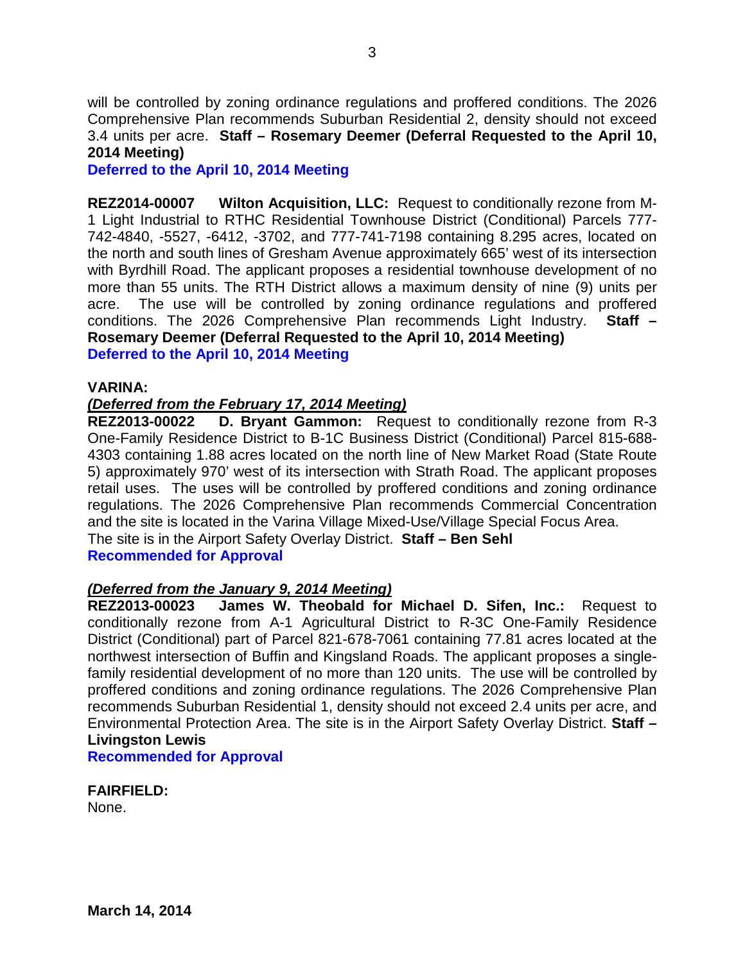will be controlled by zoning ordinance regulations and proffered conditions. The 2026 Comprehensive Plan recommends Suburban Residential 2, density should not exceed 3.4 units per acre. **Staff – Rosemary Deemer (Deferral Requested to the April 10, 2014 Meeting)**

**Deferred to the April 10, 2014 Meeting**

**REZ2014-00007 Wilton Acquisition, LLC:** Request to conditionally rezone from M-1 Light Industrial to RTHC Residential Townhouse District (Conditional) Parcels 777- 742-4840, -5527, -6412, -3702, and 777-741-7198 containing 8.295 acres, located on the north and south lines of Gresham Avenue approximately 665' west of its intersection with Byrdhill Road. The applicant proposes a residential townhouse development of no more than 55 units. The RTH District allows a maximum density of nine (9) units per acre. The use will be controlled by zoning ordinance regulations and proffered conditions. The 2026 Comprehensive Plan recommends Light Industry. **Staff – Rosemary Deemer (Deferral Requested to the April 10, 2014 Meeting) Deferred to the April 10, 2014 Meeting**

#### **VARINA:**

#### *(Deferred from the February 17, 2014 Meeting)*

**REZ2013-00022 D. Bryant Gammon:** Request to conditionally rezone from R-3 One-Family Residence District to B-1C Business District (Conditional) Parcel 815-688- 4303 containing 1.88 acres located on the north line of New Market Road (State Route 5) approximately 970' west of its intersection with Strath Road. The applicant proposes retail uses. The uses will be controlled by proffered conditions and zoning ordinance regulations. The 2026 Comprehensive Plan recommends Commercial Concentration and the site is located in the Varina Village Mixed-Use/Village Special Focus Area. The site is in the Airport Safety Overlay District. **Staff – Ben Sehl**

**Recommended for Approval**

#### *(Deferred from the January 9, 2014 Meeting)*

**REZ2013-00023 James W. Theobald for Michael D. Sifen, Inc.:** Request to conditionally rezone from A-1 Agricultural District to R-3C One-Family Residence District (Conditional) part of Parcel 821-678-7061 containing 77.81 acres located at the northwest intersection of Buffin and Kingsland Roads. The applicant proposes a singlefamily residential development of no more than 120 units. The use will be controlled by proffered conditions and zoning ordinance regulations. The 2026 Comprehensive Plan recommends Suburban Residential 1, density should not exceed 2.4 units per acre, and Environmental Protection Area. The site is in the Airport Safety Overlay District. **Staff – Livingston Lewis**

**Recommended for Approval**

**FAIRFIELD:** 

None.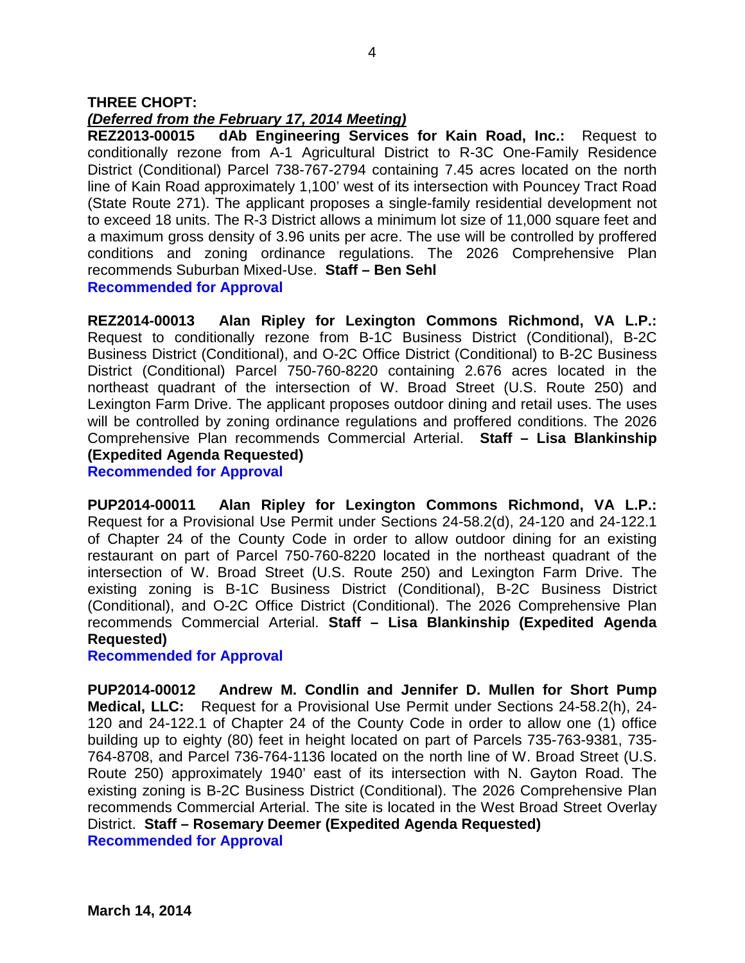## *(Deferred from the February 17, 2014 Meeting)*

**REZ2013-00015 dAb Engineering Services for Kain Road, Inc.:** Request to conditionally rezone from A-1 Agricultural District to R-3C One-Family Residence District (Conditional) Parcel 738-767-2794 containing 7.45 acres located on the north line of Kain Road approximately 1,100' west of its intersection with Pouncey Tract Road (State Route 271). The applicant proposes a single-family residential development not to exceed 18 units. The R-3 District allows a minimum lot size of 11,000 square feet and a maximum gross density of 3.96 units per acre. The use will be controlled by proffered conditions and zoning ordinance regulations. The 2026 Comprehensive Plan recommends Suburban Mixed-Use. **Staff – Ben Sehl Recommended for Approval**

**REZ2014-00013 Alan Ripley for Lexington Commons Richmond, VA L.P.:** Request to conditionally rezone from B-1C Business District (Conditional), B-2C Business District (Conditional), and O-2C Office District (Conditional) to B-2C Business District (Conditional) Parcel 750-760-8220 containing 2.676 acres located in the northeast quadrant of the intersection of W. Broad Street (U.S. Route 250) and Lexington Farm Drive. The applicant proposes outdoor dining and retail uses. The uses will be controlled by zoning ordinance regulations and proffered conditions. The 2026 Comprehensive Plan recommends Commercial Arterial. **Staff – Lisa Blankinship (Expedited Agenda Requested)**

**Recommended for Approval**

**PUP2014-00011 Alan Ripley for Lexington Commons Richmond, VA L.P.:** Request for a Provisional Use Permit under Sections 24-58.2(d), 24-120 and 24-122.1 of Chapter 24 of the County Code in order to allow outdoor dining for an existing restaurant on part of Parcel 750-760-8220 located in the northeast quadrant of the intersection of W. Broad Street (U.S. Route 250) and Lexington Farm Drive. The existing zoning is B-1C Business District (Conditional), B-2C Business District (Conditional), and O-2C Office District (Conditional). The 2026 Comprehensive Plan recommends Commercial Arterial. **Staff – Lisa Blankinship (Expedited Agenda Requested)**

## **Recommended for Approval**

**PUP2014-00012 Andrew M. Condlin and Jennifer D. Mullen for Short Pump Medical, LLC:** Request for a Provisional Use Permit under Sections 24-58.2(h), 24- 120 and 24-122.1 of Chapter 24 of the County Code in order to allow one (1) office building up to eighty (80) feet in height located on part of Parcels 735-763-9381, 735- 764-8708, and Parcel 736-764-1136 located on the north line of W. Broad Street (U.S. Route 250) approximately 1940' east of its intersection with N. Gayton Road. The existing zoning is B-2C Business District (Conditional). The 2026 Comprehensive Plan recommends Commercial Arterial. The site is located in the West Broad Street Overlay District. **Staff – Rosemary Deemer (Expedited Agenda Requested) Recommended for Approval**